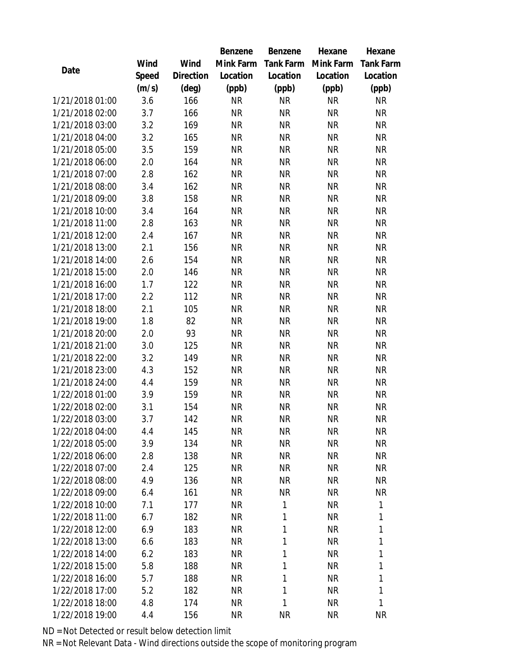|                 |       |                | Benzene   | Benzene      | Hexane              | Hexane           |
|-----------------|-------|----------------|-----------|--------------|---------------------|------------------|
|                 | Wind  | Wind           | Mink Farm |              | Tank Farm Mink Farm | <b>Tank Farm</b> |
| Date            | Speed | Direction      | Location  | Location     | Location            | Location         |
|                 | (m/s) | $(\text{deg})$ | (ppb)     | (ppb)        | (ppb)               | (ppb)            |
| 1/21/2018 01:00 | 3.6   | 166            | <b>NR</b> | <b>NR</b>    | <b>NR</b>           | <b>NR</b>        |
| 1/21/2018 02:00 | 3.7   | 166            | <b>NR</b> | <b>NR</b>    | <b>NR</b>           | <b>NR</b>        |
| 1/21/2018 03:00 | 3.2   | 169            | <b>NR</b> | <b>NR</b>    | <b>NR</b>           | <b>NR</b>        |
| 1/21/2018 04:00 | 3.2   | 165            | <b>NR</b> | <b>NR</b>    | <b>NR</b>           | <b>NR</b>        |
| 1/21/2018 05:00 | 3.5   | 159            | <b>NR</b> | <b>NR</b>    | <b>NR</b>           | <b>NR</b>        |
| 1/21/2018 06:00 | 2.0   | 164            | <b>NR</b> | <b>NR</b>    | <b>NR</b>           | <b>NR</b>        |
| 1/21/2018 07:00 | 2.8   | 162            | <b>NR</b> | <b>NR</b>    | <b>NR</b>           | <b>NR</b>        |
| 1/21/2018 08:00 | 3.4   | 162            | <b>NR</b> | <b>NR</b>    | <b>NR</b>           | <b>NR</b>        |
| 1/21/2018 09:00 | 3.8   | 158            | <b>NR</b> | <b>NR</b>    | <b>NR</b>           | <b>NR</b>        |
| 1/21/2018 10:00 | 3.4   | 164            | <b>NR</b> | <b>NR</b>    | <b>NR</b>           | <b>NR</b>        |
| 1/21/2018 11:00 | 2.8   | 163            | <b>NR</b> | <b>NR</b>    | <b>NR</b>           | <b>NR</b>        |
| 1/21/2018 12:00 | 2.4   | 167            | <b>NR</b> | <b>NR</b>    | <b>NR</b>           | <b>NR</b>        |
| 1/21/2018 13:00 | 2.1   | 156            | <b>NR</b> | <b>NR</b>    | <b>NR</b>           | <b>NR</b>        |
| 1/21/2018 14:00 | 2.6   | 154            | <b>NR</b> | <b>NR</b>    | <b>NR</b>           | <b>NR</b>        |
| 1/21/2018 15:00 | 2.0   | 146            | <b>NR</b> | <b>NR</b>    | <b>NR</b>           | <b>NR</b>        |
| 1/21/2018 16:00 | 1.7   | 122            | <b>NR</b> | <b>NR</b>    | <b>NR</b>           | <b>NR</b>        |
| 1/21/2018 17:00 | 2.2   | 112            | <b>NR</b> | <b>NR</b>    | <b>NR</b>           | <b>NR</b>        |
| 1/21/2018 18:00 | 2.1   | 105            | <b>NR</b> | <b>NR</b>    | <b>NR</b>           | <b>NR</b>        |
| 1/21/2018 19:00 | 1.8   | 82             | <b>NR</b> | <b>NR</b>    | <b>NR</b>           | <b>NR</b>        |
| 1/21/2018 20:00 | 2.0   | 93             | <b>NR</b> | <b>NR</b>    | <b>NR</b>           | <b>NR</b>        |
| 1/21/2018 21:00 | 3.0   | 125            | <b>NR</b> | <b>NR</b>    | <b>NR</b>           | <b>NR</b>        |
| 1/21/2018 22:00 | 3.2   | 149            | <b>NR</b> | <b>NR</b>    | <b>NR</b>           | <b>NR</b>        |
| 1/21/2018 23:00 | 4.3   | 152            | <b>NR</b> | <b>NR</b>    | <b>NR</b>           | <b>NR</b>        |
| 1/21/2018 24:00 | 4.4   | 159            | <b>NR</b> | <b>NR</b>    | <b>NR</b>           | <b>NR</b>        |
| 1/22/2018 01:00 | 3.9   | 159            | <b>NR</b> | <b>NR</b>    | <b>NR</b>           | <b>NR</b>        |
| 1/22/2018 02:00 | 3.1   | 154            | <b>NR</b> | <b>NR</b>    | <b>NR</b>           | <b>NR</b>        |
| 1/22/2018 03:00 | 3.7   | 142            | <b>NR</b> | <b>NR</b>    | <b>NR</b>           | <b>NR</b>        |
| 1/22/2018 04:00 | 4.4   | 145            | <b>NR</b> | ΝR           | NR                  | NR               |
| 1/22/2018 05:00 | 3.9   | 134            | NR        | <b>NR</b>    | <b>NR</b>           | NR               |
| 1/22/2018 06:00 | 2.8   | 138            | NR        | <b>NR</b>    | NR                  | <b>NR</b>        |
| 1/22/2018 07:00 | 2.4   | 125            | <b>NR</b> | <b>NR</b>    | <b>NR</b>           | NR               |
| 1/22/2018 08:00 | 4.9   | 136            | <b>NR</b> | <b>NR</b>    | <b>NR</b>           | NR               |
| 1/22/2018 09:00 | 6.4   | 161            | NR        | <b>NR</b>    | NR                  | <b>NR</b>        |
| 1/22/2018 10:00 | 7.1   | 177            | NR        | $\mathbf{1}$ | <b>NR</b>           | $\mathbf{1}$     |
| 1/22/2018 11:00 | 6.7   | 182            | NR        | 1            | <b>NR</b>           | 1                |
| 1/22/2018 12:00 | 6.9   | 183            | <b>NR</b> | 1            | <b>NR</b>           | 1                |
| 1/22/2018 13:00 | 6.6   | 183            | NR        | 1            | <b>NR</b>           | 1                |
| 1/22/2018 14:00 | 6.2   | 183            | NR        | $\mathbf{1}$ | <b>NR</b>           | 1                |
| 1/22/2018 15:00 | 5.8   | 188            | NR        | $\mathbf{1}$ | <b>NR</b>           | 1                |
| 1/22/2018 16:00 | 5.7   | 188            | <b>NR</b> | $\mathbf{1}$ | <b>NR</b>           | 1                |
| 1/22/2018 17:00 | 5.2   | 182            | <b>NR</b> | $\mathbf{1}$ | <b>NR</b>           | 1                |
| 1/22/2018 18:00 | 4.8   | 174            | NR        | $\mathbf{1}$ | <b>NR</b>           | $\mathbf{1}$     |
| 1/22/2018 19:00 | 4.4   | 156            | NR        | ΝR           | <b>NR</b>           | <b>NR</b>        |

ND = Not Detected or result below detection limit

NR = Not Relevant Data - Wind directions outside the scope of monitoring program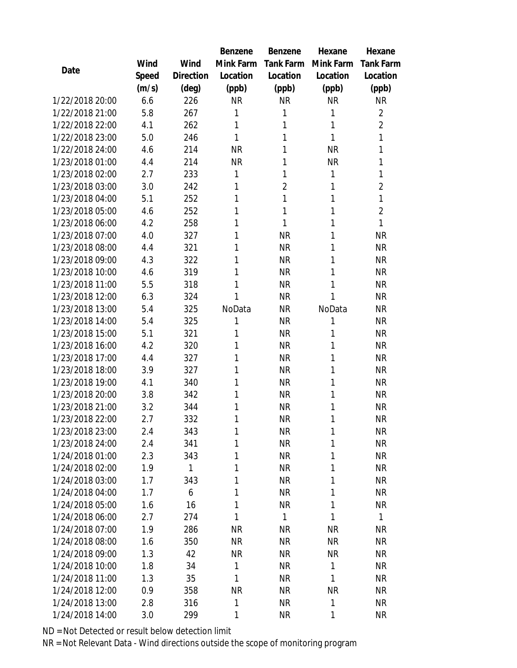|                 |       |                | Benzene   | <b>Benzene</b> | Hexane       | Hexane           |
|-----------------|-------|----------------|-----------|----------------|--------------|------------------|
|                 | Wind  | Wind           | Mink Farm | Tank Farm      | Mink Farm    | <b>Tank Farm</b> |
| Date            | Speed | Direction      | Location  | Location       | Location     | Location         |
|                 | (m/s) | $(\text{deg})$ | (ppb)     | (ppb)          | (ppb)        | (ppb)            |
| 1/22/2018 20:00 | 6.6   | 226            | <b>NR</b> | <b>NR</b>      | <b>NR</b>    | <b>NR</b>        |
| 1/22/2018 21:00 | 5.8   | 267            | 1         | 1              | 1            | $\overline{2}$   |
| 1/22/2018 22:00 | 4.1   | 262            | 1         | 1              | 1            | $\overline{2}$   |
| 1/22/2018 23:00 | 5.0   | 246            | 1         | 1              | 1            | $\mathbf{1}$     |
| 1/22/2018 24:00 | 4.6   | 214            | <b>NR</b> | 1              | <b>NR</b>    | $\mathbf{1}$     |
| 1/23/2018 01:00 | 4.4   | 214            | <b>NR</b> | 1              | <b>NR</b>    | $\mathbf{1}$     |
| 1/23/2018 02:00 | 2.7   | 233            | 1         | 1              | 1            | 1                |
| 1/23/2018 03:00 | 3.0   | 242            | 1         | $\overline{2}$ | 1            | $\overline{2}$   |
| 1/23/2018 04:00 | 5.1   | 252            | 1         | 1              | 1            | $\mathbf{1}$     |
| 1/23/2018 05:00 | 4.6   | 252            | 1         | 1              | 1            | $\overline{2}$   |
| 1/23/2018 06:00 | 4.2   | 258            | 1         | 1              | 1            | $\mathbf{1}$     |
| 1/23/2018 07:00 | 4.0   | 327            | 1         | <b>NR</b>      | 1            | <b>NR</b>        |
| 1/23/2018 08:00 | 4.4   | 321            | 1         | <b>NR</b>      | 1            | <b>NR</b>        |
| 1/23/2018 09:00 | 4.3   | 322            | 1         | <b>NR</b>      | 1            | <b>NR</b>        |
| 1/23/2018 10:00 | 4.6   | 319            | 1         | <b>NR</b>      | 1            | <b>NR</b>        |
| 1/23/2018 11:00 | 5.5   | 318            | 1         | <b>NR</b>      | 1            | <b>NR</b>        |
| 1/23/2018 12:00 | 6.3   | 324            | 1         | <b>NR</b>      | 1            | <b>NR</b>        |
| 1/23/2018 13:00 | 5.4   | 325            | NoData    | <b>NR</b>      | NoData       | <b>NR</b>        |
| 1/23/2018 14:00 | 5.4   | 325            | 1         | <b>NR</b>      | 1            | <b>NR</b>        |
| 1/23/2018 15:00 | 5.1   | 321            | 1         | <b>NR</b>      | 1            | <b>NR</b>        |
| 1/23/2018 16:00 | 4.2   | 320            | 1         | <b>NR</b>      | 1            | <b>NR</b>        |
| 1/23/2018 17:00 | 4.4   | 327            | 1         | <b>NR</b>      | 1            | <b>NR</b>        |
| 1/23/2018 18:00 | 3.9   | 327            | 1         | <b>NR</b>      | 1            | <b>NR</b>        |
| 1/23/2018 19:00 | 4.1   | 340            | 1         | <b>NR</b>      | 1            | <b>NR</b>        |
| 1/23/2018 20:00 | 3.8   | 342            | 1         | <b>NR</b>      | 1            | <b>NR</b>        |
| 1/23/2018 21:00 | 3.2   | 344            | 1         | <b>NR</b>      | 1            | <b>NR</b>        |
| 1/23/2018 22:00 | 2.7   | 332            | 1         | <b>NR</b>      | 1            | <b>NR</b>        |
| 1/23/2018 23:00 | 2.4   | 343            | 1         | <b>NR</b>      | 1            | NR               |
| 1/23/2018 24:00 | 2.4   | 341            | 1         | <b>NR</b>      | 1            | <b>NR</b>        |
| 1/24/2018 01:00 | 2.3   | 343            | 1         | <b>NR</b>      | 1            | <b>NR</b>        |
| 1/24/2018 02:00 | 1.9   | 1              | 1         | <b>NR</b>      | 1            | <b>NR</b>        |
| 1/24/2018 03:00 | 1.7   | 343            | 1         | <b>NR</b>      | 1            | <b>NR</b>        |
| 1/24/2018 04:00 | 1.7   | 6              | 1         | <b>NR</b>      | 1            | <b>NR</b>        |
| 1/24/2018 05:00 | 1.6   | 16             | 1         | <b>NR</b>      | 1            | <b>NR</b>        |
| 1/24/2018 06:00 | 2.7   | 274            | 1         | $\mathbf{1}$   | 1            | $\mathbf{1}$     |
| 1/24/2018 07:00 | 1.9   | 286            | <b>NR</b> | <b>NR</b>      | <b>NR</b>    | <b>NR</b>        |
| 1/24/2018 08:00 | 1.6   | 350            | <b>NR</b> | <b>NR</b>      | <b>NR</b>    | <b>NR</b>        |
| 1/24/2018 09:00 | 1.3   | 42             | NR        | NR             | <b>NR</b>    | <b>NR</b>        |
| 1/24/2018 10:00 | 1.8   | 34             | 1         | <b>NR</b>      | $\mathbf{1}$ | <b>NR</b>        |
| 1/24/2018 11:00 | 1.3   | 35             | 1         | <b>NR</b>      | 1            | NR               |
| 1/24/2018 12:00 | 0.9   | 358            | <b>NR</b> | <b>NR</b>      | <b>NR</b>    | <b>NR</b>        |
| 1/24/2018 13:00 | 2.8   | 316            | 1         | <b>NR</b>      | 1            | NR               |
| 1/24/2018 14:00 | 3.0   | 299            | 1         | <b>NR</b>      | 1            | <b>NR</b>        |

ND = Not Detected or result below detection limit

NR = Not Relevant Data - Wind directions outside the scope of monitoring program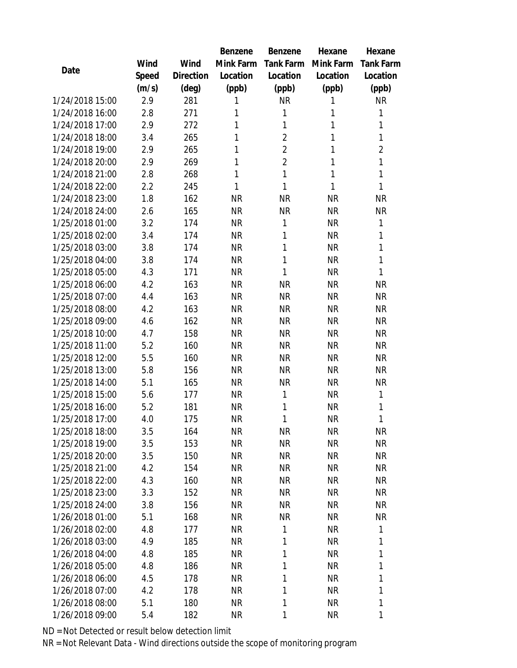|                 |       |           | Benzene   | Benzene        | Hexane    | Hexane           |
|-----------------|-------|-----------|-----------|----------------|-----------|------------------|
|                 | Wind  | Wind      | Mink Farm | Tank Farm      | Mink Farm | <b>Tank Farm</b> |
| Date            | Speed | Direction | Location  | Location       | Location  | Location         |
|                 | (m/s) | (deg)     | (ppb)     | (ppb)          | (ppb)     | (ppb)            |
| 1/24/2018 15:00 | 2.9   | 281       | 1         | <b>NR</b>      | 1         | <b>NR</b>        |
| 1/24/2018 16:00 | 2.8   | 271       | 1         | $\mathbf{1}$   | 1         | 1                |
| 1/24/2018 17:00 | 2.9   | 272       | 1         | $\mathbf{1}$   | 1         | $\mathbf{1}$     |
| 1/24/2018 18:00 | 3.4   | 265       | 1         | $\overline{2}$ | 1         | $\mathbf{1}$     |
| 1/24/2018 19:00 | 2.9   | 265       | 1         | $\overline{2}$ | 1         | $\overline{2}$   |
| 1/24/2018 20:00 | 2.9   | 269       | 1         | $\overline{2}$ | 1         | $\mathbf{1}$     |
| 1/24/2018 21:00 | 2.8   | 268       | 1         | $\mathbf{1}$   | 1         | $\mathbf{1}$     |
| 1/24/2018 22:00 | 2.2   | 245       | 1         | $\mathbf{1}$   | 1         | $\mathbf{1}$     |
| 1/24/2018 23:00 | 1.8   | 162       | <b>NR</b> | <b>NR</b>      | <b>NR</b> | <b>NR</b>        |
| 1/24/2018 24:00 | 2.6   | 165       | <b>NR</b> | <b>NR</b>      | <b>NR</b> | <b>NR</b>        |
| 1/25/2018 01:00 | 3.2   | 174       | <b>NR</b> | $\mathbf{1}$   | <b>NR</b> | $\mathbf{1}$     |
| 1/25/2018 02:00 | 3.4   | 174       | <b>NR</b> | 1              | <b>NR</b> | $\mathbf{1}$     |
| 1/25/2018 03:00 | 3.8   | 174       | <b>NR</b> | $\mathbf{1}$   | <b>NR</b> | $\mathbf{1}$     |
| 1/25/2018 04:00 | 3.8   | 174       | <b>NR</b> | $\mathbf{1}$   | <b>NR</b> | $\mathbf{1}$     |
| 1/25/2018 05:00 | 4.3   | 171       | <b>NR</b> | $\mathbf{1}$   | <b>NR</b> | $\mathbf{1}$     |
| 1/25/2018 06:00 | 4.2   | 163       | <b>NR</b> | <b>NR</b>      | <b>NR</b> | <b>NR</b>        |
| 1/25/2018 07:00 | 4.4   | 163       | <b>NR</b> | <b>NR</b>      | <b>NR</b> | <b>NR</b>        |
| 1/25/2018 08:00 | 4.2   | 163       | <b>NR</b> | <b>NR</b>      | <b>NR</b> | <b>NR</b>        |
| 1/25/2018 09:00 | 4.6   | 162       | <b>NR</b> | <b>NR</b>      | <b>NR</b> | <b>NR</b>        |
| 1/25/2018 10:00 | 4.7   | 158       | <b>NR</b> | <b>NR</b>      | <b>NR</b> | <b>NR</b>        |
| 1/25/2018 11:00 | 5.2   | 160       | <b>NR</b> | <b>NR</b>      | <b>NR</b> | <b>NR</b>        |
| 1/25/2018 12:00 | 5.5   | 160       | <b>NR</b> | <b>NR</b>      | <b>NR</b> | <b>NR</b>        |
| 1/25/2018 13:00 | 5.8   | 156       | <b>NR</b> | <b>NR</b>      | <b>NR</b> | <b>NR</b>        |
| 1/25/2018 14:00 | 5.1   | 165       | <b>NR</b> | <b>NR</b>      | <b>NR</b> | <b>NR</b>        |
| 1/25/2018 15:00 | 5.6   | 177       | <b>NR</b> | $\mathbf{1}$   | <b>NR</b> | $\mathbf{1}$     |
| 1/25/2018 16:00 | 5.2   | 181       | <b>NR</b> | $\mathbf{1}$   | <b>NR</b> | 1                |
| 1/25/2018 17:00 | 4.0   | 175       | <b>NR</b> | 1              | <b>NR</b> | 1                |
| 1/25/2018 18:00 | 3.5   | 164       | <b>NR</b> | ΝR             | NR        | NR               |
| 1/25/2018 19:00 | 3.5   | 153       | <b>NR</b> | <b>NR</b>      | <b>NR</b> | <b>NR</b>        |
| 1/25/2018 20:00 | 3.5   | 150       | <b>NR</b> | <b>NR</b>      | <b>NR</b> | <b>NR</b>        |
| 1/25/2018 21:00 | 4.2   | 154       | <b>NR</b> | <b>NR</b>      | <b>NR</b> | <b>NR</b>        |
| 1/25/2018 22:00 | 4.3   | 160       | <b>NR</b> | <b>NR</b>      | <b>NR</b> | NR               |
| 1/25/2018 23:00 | 3.3   | 152       | <b>NR</b> | NR             | NR        | NR               |
| 1/25/2018 24:00 | 3.8   | 156       | <b>NR</b> | <b>NR</b>      | <b>NR</b> | <b>NR</b>        |
| 1/26/2018 01:00 | 5.1   | 168       | NR.       | ΝR             | NR        | NR               |
| 1/26/2018 02:00 | 4.8   | 177       | <b>NR</b> | 1              | <b>NR</b> | 1                |
| 1/26/2018 03:00 | 4.9   | 185       | <b>NR</b> | 1              | <b>NR</b> | 1                |
| 1/26/2018 04:00 | 4.8   | 185       | <b>NR</b> | $\mathbf{1}$   | <b>NR</b> | 1                |
| 1/26/2018 05:00 | 4.8   | 186       | <b>NR</b> | $\mathbf{1}$   | <b>NR</b> | 1                |
| 1/26/2018 06:00 | 4.5   | 178       | <b>NR</b> | $\mathbf{1}$   | <b>NR</b> | 1                |
| 1/26/2018 07:00 | 4.2   | 178       | <b>NR</b> | $\mathbf{1}$   | <b>NR</b> | 1                |
| 1/26/2018 08:00 | 5.1   | 180       | NR        | 1              | NR        | 1                |
| 1/26/2018 09:00 | 5.4   | 182       | NR        | 1              | NR        | 1                |

ND = Not Detected or result below detection limit

NR = Not Relevant Data - Wind directions outside the scope of monitoring program